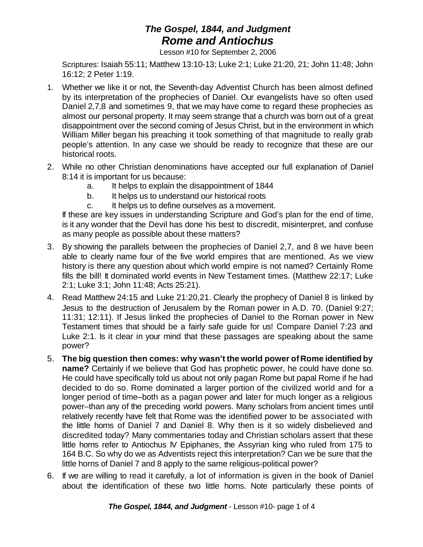## *The Gospel, 1844, and Judgment Rome and Antiochus*

Lesson #10 for September 2, 2006

Scriptures: Isaiah 55:11; Matthew 13:10-13; Luke 2:1; Luke 21:20, 21; John 11:48; John 16:12; 2 Peter 1:19.

- 1. Whether we like it or not, the Seventh-day Adventist Church has been almost defined by its interpretation of the prophecies of Daniel. Our evangelists have so often used Daniel 2,7,8 and sometimes 9, that we may have come to regard these prophecies as almost our personal property. It may seem strange that a church was born out of a great disappointment over the second coming of Jesus Christ, but in the environment in which William Miller began his preaching it took something of that magnitude to really grab people's attention. In any case we should be ready to recognize that these are our historical roots.
- 2. While no other Christian denominations have accepted our full explanation of Daniel 8:14 it is important for us because:
	- a. It helps to explain the disappointment of 1844
	- b. It helps us to understand our historical roots
	- c. It helps us to define ourselves as a movement.

If these are key issues in understanding Scripture and God's plan for the end of time, is it any wonder that the Devil has done his best to discredit, misinterpret, and confuse as many people as possible about these matters?

- 3. By showing the parallels between the prophecies of Daniel 2,7, and 8 we have been able to clearly name four of the five world empires that are mentioned. As we view history is there any question about which world empire is not named? Certainly Rome fills the bill! It dominated world events in New Testament times. (Matthew 22:17; Luke 2:1; Luke 3:1; John 11:48; Acts 25:21).
- 4. Read Matthew 24:15 and Luke 21:20,21. Clearly the prophecy of Daniel 8 is linked by Jesus to the destruction of Jerusalem by the Roman power in A.D. 70. (Daniel 9:27; 11:31; 12:11). If Jesus linked the prophecies of Daniel to the Roman power in New Testament times that should be a fairly safe guide for us! Compare Daniel 7:23 and Luke 2:1. Is it clear in your mind that these passages are speaking about the same power?
- 5. **The big question then comes: why wasn't the world power of Rome identified by name?** Certainly if we believe that God has prophetic power, he could have done so. He could have specifically told us about not only pagan Rome but papal Rome if he had decided to do so. Rome dominated a larger portion of the civilized world and for a longer period of time–both as a pagan power and later for much longer as a religious power–than any of the preceding world powers. Many scholars from ancient times until relatively recently have felt that Rome was the identified power to be associated with the little horns of Daniel 7 and Daniel 8. Why then is it so widely disbelieved and discredited today? Many commentaries today and Christian scholars assert that these little horns refer to Antiochus IV Epiphanes, the Assyrian king who ruled from 175 to 164 B.C. So why do we as Adventists reject this interpretation? Can we be sure that the little horns of Daniel 7 and 8 apply to the same religious-political power?
- 6. If we are willing to read it carefully, a lot of information is given in the book of Daniel about the identification of these two little horns. Note particularly these points of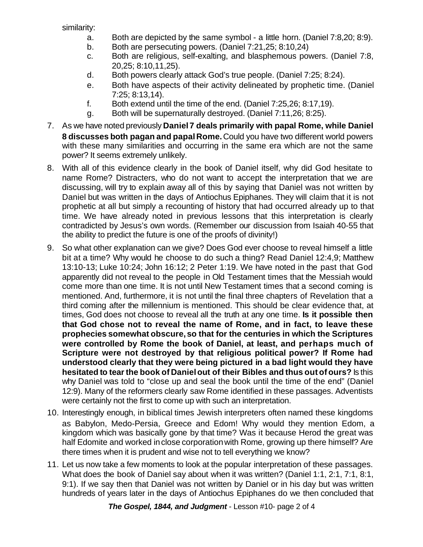similarity:

- a. Both are depicted by the same symbol a little horn. (Daniel 7:8,20; 8:9).
- b. Both are persecuting powers. (Daniel 7:21,25; 8:10,24)
- c. Both are religious, self-exalting, and blasphemous powers. (Daniel 7:8, 20,25; 8:10,11,25).
- d. Both powers clearly attack God's true people. (Daniel 7:25; 8:24).
- e. Both have aspects of their activity delineated by prophetic time. (Daniel 7:25; 8:13,14).
- f. Both extend until the time of the end. (Daniel 7:25,26; 8:17,19).
- g. Both will be supernaturally destroyed. (Daniel 7:11,26; 8:25).
- 7. As we have noted previously **Daniel7 deals primarily with papal Rome, while Daniel 8 discusses both pagan and papalRome.**Could you have two different world powers with these many similarities and occurring in the same era which are not the same power? It seems extremely unlikely.
- 8. With all of this evidence clearly in the book of Daniel itself, why did God hesitate to name Rome? Distracters, who do not want to accept the interpretation that we are discussing, will try to explain away all of this by saying that Daniel was not written by Daniel but was written in the days of Antiochus Epiphanes. They will claim that it is not prophetic at all but simply a recounting of history that had occurred already up to that time. We have already noted in previous lessons that this interpretation is clearly contradicted by Jesus's own words. (Remember our discussion from Isaiah 40-55 that the ability to predict the future is one of the proofs of divinity!)
- 9. So what other explanation can we give? Does God ever choose to reveal himself a little bit at a time? Why would he choose to do such a thing? Read Daniel 12:4,9; Matthew 13:10-13; Luke 10:24; John 16:12; 2 Peter 1:19. We have noted in the past that God apparently did not reveal to the people in Old Testament times that the Messiah would come more than one time. It is not until New Testament times that a second coming is mentioned. And, furthermore, it is not until the final three chapters of Revelation that a third coming after the millennium is mentioned. This should be clear evidence that, at times, God does not choose to reveal all the truth at any one time. **Is it possible then that God chose not to reveal the name of Rome, and in fact, to leave these prophecies somewhat obscure,so that for the centuries in which the Scriptures were controlled by Rome the book of Daniel, at least, and perhaps much of Scripture were not destroyed by that religious political power? If Rome had understood clearly that they were being pictured in a bad light would they have hesitated to tearthe book of Danielout of their Bibles and thus outof ours?** Is this why Daniel was told to "close up and seal the book until the time of the end" (Daniel 12:9). Many of the reformers clearly saw Rome identified in these passages. Adventists were certainly not the first to come up with such an interpretation.
- 10. Interestingly enough, in biblical times Jewish interpreters often named these kingdoms as Babylon, Medo-Persia, Greece and Edom! Why would they mention Edom, a kingdom which was basically gone by that time? Was it because Herod the great was half Edomite and worked in close corporation with Rome, growing up there himself? Are there times when it is prudent and wise not to tell everything we know?
- 11. Let us now take a few moments to look at the popular interpretation of these passages. What does the book of Daniel say about when it was written? (Daniel 1:1, 2:1, 7:1, 8:1, 9:1). If we say then that Daniel was not written by Daniel or in his day but was written hundreds of years later in the days of Antiochus Epiphanes do we then concluded that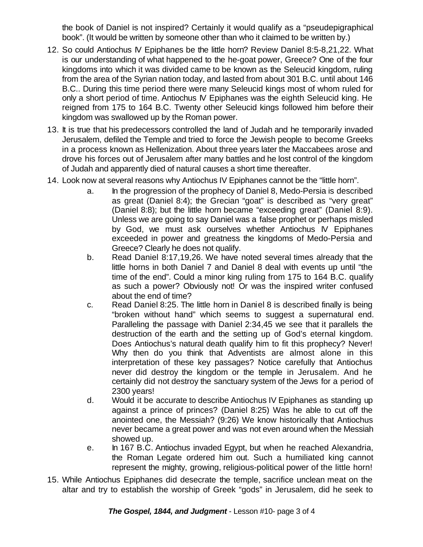the book of Daniel is not inspired? Certainly it would qualify as a "pseudepigraphical book". (It would be written by someone other than who it claimed to be written by.)

- 12. So could Antiochus IV Epiphanes be the little horn? Review Daniel 8:5-8,21,22. What is our understanding of what happened to the he-goat power, Greece? One of the four kingdoms into which it was divided came to be known as the Seleucid kingdom, ruling from the area of the Syrian nation today, and lasted from about 301 B.C. until about 146 B.C.. During this time period there were many Seleucid kings most of whom ruled for only a short period of time. Antiochus IV Epiphanes was the eighth Seleucid king. He reigned from 175 to 164 B.C. Twenty other Seleucid kings followed him before their kingdom was swallowed up by the Roman power.
- 13. It is true that his predecessors controlled the land of Judah and he temporarily invaded Jerusalem, defiled the Temple and tried to force the Jewish people to become Greeks in a process known as Hellenization. About three years later the Maccabees arose and drove his forces out of Jerusalem after many battles and he lost control of the kingdom of Judah and apparently died of natural causes a short time thereafter.
- 14. Look now at several reasons why Antiochus IV Epiphanes cannot be the "little horn".
	- a. In the progression of the prophecy of Daniel 8, Medo-Persia is described as great (Daniel 8:4); the Grecian "goat" is described as "very great" (Daniel 8:8); but the little horn became "exceeding great" (Daniel 8:9). Unless we are going to say Daniel was a false prophet or perhaps misled by God, we must ask ourselves whether Antiochus IV Epiphanes exceeded in power and greatness the kingdoms of Medo-Persia and Greece? Clearly he does not qualify.
	- b. Read Daniel 8:17,19,26. We have noted several times already that the little horns in both Daniel 7 and Daniel 8 deal with events up until "the time of the end". Could a minor king ruling from 175 to 164 B.C. qualify as such a power? Obviously not! Or was the inspired writer confused about the end of time?
	- c. Read Daniel 8:25. The little horn in Daniel 8 is described finally is being "broken without hand" which seems to suggest a supernatural end. Paralleling the passage with Daniel 2:34,45 we see that it parallels the destruction of the earth and the setting up of God's eternal kingdom. Does Antiochus's natural death qualify him to fit this prophecy? Never! Why then do you think that Adventists are almost alone in this interpretation of these key passages? Notice carefully that Antiochus never did destroy the kingdom or the temple in Jerusalem. And he certainly did not destroy the sanctuary system of the Jews for a period of 2300 years!
	- d. Would it be accurate to describe Antiochus IV Epiphanes as standing up against a prince of princes? (Daniel 8:25) Was he able to cut off the anointed one, the Messiah? (9:26) We know historically that Antiochus never became a great power and was not even around when the Messiah showed up.
	- e. In 167 B.C. Antiochus invaded Egypt, but when he reached Alexandria, the Roman Legate ordered him out. Such a humiliated king cannot represent the mighty, growing, religious-political power of the little horn!
- 15. While Antiochus Epiphanes did desecrate the temple, sacrifice unclean meat on the altar and try to establish the worship of Greek "gods" in Jerusalem, did he seek to